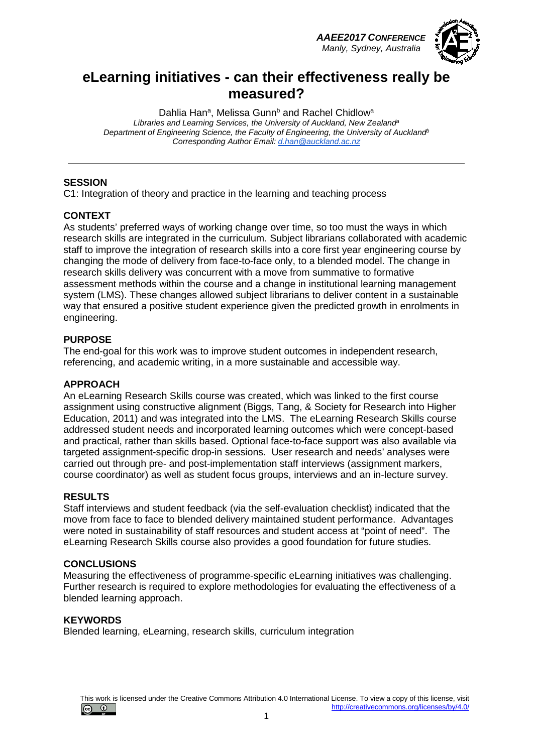*AAEE2017 CONFERENCE Manly, Sydney, Australia*



## **eLearning initiatives - can their effectiveness really be measured?**

Dahlia Han<sup>a</sup>, Melissa Gunn<sup>b</sup> and Rachel Chidlow<sup>a</sup> *Libraries and Learning Services, the University of Auckland, New Zealanda Department of Engineering Science, the Faculty of Engineering, the University of Aucklandb Corresponding Author Email: [d.han@auckland.ac.nz](mailto:d.han@auckland.ac.nz)*

### **SESSION**

C1: Integration of theory and practice in the learning and teaching process

### **CONTEXT**

As students' preferred ways of working change over time, so too must the ways in which research skills are integrated in the curriculum. Subject librarians collaborated with academic staff to improve the integration of research skills into a core first year engineering course by changing the mode of delivery from face-to-face only, to a blended model. The change in research skills delivery was concurrent with a move from summative to formative assessment methods within the course and a change in institutional learning management system (LMS). These changes allowed subject librarians to deliver content in a sustainable way that ensured a positive student experience given the predicted growth in enrolments in engineering.

### **PURPOSE**

The end-goal for this work was to improve student outcomes in independent research, referencing, and academic writing, in a more sustainable and accessible way.

#### **APPROACH**

An eLearning Research Skills course was created, which was linked to the first course assignment using constructive alignment (Biggs, Tang, & Society for Research into Higher Education, 2011) and was integrated into the LMS. The eLearning Research Skills course addressed student needs and incorporated learning outcomes which were concept-based and practical, rather than skills based. Optional face-to-face support was also available via targeted assignment-specific drop-in sessions. User research and needs' analyses were carried out through pre- and post-implementation staff interviews (assignment markers, course coordinator) as well as student focus groups, interviews and an in-lecture survey.

#### **RESULTS**

Staff interviews and student feedback (via the self-evaluation checklist) indicated that the move from face to face to blended delivery maintained student performance. Advantages were noted in sustainability of staff resources and student access at "point of need". The eLearning Research Skills course also provides a good foundation for future studies.

### **CONCLUSIONS**

Measuring the effectiveness of programme-specific eLearning initiatives was challenging. Further research is required to explore methodologies for evaluating the effectiveness of a blended learning approach.

#### **KEYWORDS**

Blended learning, eLearning, research skills, curriculum integration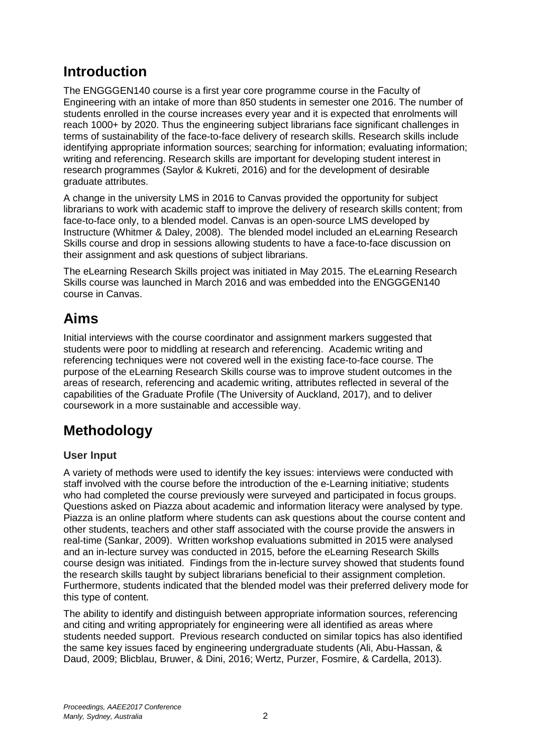# **Introduction**

The ENGGGEN140 course is a first year core programme course in the Faculty of Engineering with an intake of more than 850 students in semester one 2016. The number of students enrolled in the course increases every year and it is expected that enrolments will reach 1000+ by 2020. Thus the engineering subject librarians face significant challenges in terms of sustainability of the face-to-face delivery of research skills. Research skills include identifying appropriate information sources; searching for information; evaluating information; writing and referencing. Research skills are important for developing student interest in research programmes (Saylor & Kukreti, 2016) and for the development of desirable graduate attributes.

A change in the university LMS in 2016 to Canvas provided the opportunity for subject librarians to work with academic staff to improve the delivery of research skills content; from face-to-face only, to a blended model. Canvas is an open-source LMS developed by Instructure (Whitmer & Daley, 2008). The blended model included an eLearning Research Skills course and drop in sessions allowing students to have a face-to-face discussion on their assignment and ask questions of subject librarians.

The eLearning Research Skills project was initiated in May 2015. The eLearning Research Skills course was launched in March 2016 and was embedded into the ENGGGEN140 course in Canvas.

# **Aims**

Initial interviews with the course coordinator and assignment markers suggested that students were poor to middling at research and referencing. Academic writing and referencing techniques were not covered well in the existing face-to-face course. The purpose of the eLearning Research Skills course was to improve student outcomes in the areas of research, referencing and academic writing, attributes reflected in several of the capabilities of the Graduate Profile (The University of Auckland, 2017), and to deliver coursework in a more sustainable and accessible way.

# **Methodology**

### **User Input**

A variety of methods were used to identify the key issues: interviews were conducted with staff involved with the course before the introduction of the e-Learning initiative; students who had completed the course previously were surveyed and participated in focus groups. Questions asked on Piazza about academic and information literacy were analysed by type. Piazza is an online platform where students can ask questions about the course content and other students, teachers and other staff associated with the course provide the answers in real-time (Sankar, 2009). Written workshop evaluations submitted in 2015 were analysed and an in-lecture survey was conducted in 2015, before the eLearning Research Skills course design was initiated. Findings from the in-lecture survey showed that students found the research skills taught by subject librarians beneficial to their assignment completion. Furthermore, students indicated that the blended model was their preferred delivery mode for this type of content.

The ability to identify and distinguish between appropriate information sources, referencing and citing and writing appropriately for engineering were all identified as areas where students needed support. Previous research conducted on similar topics has also identified the same key issues faced by engineering undergraduate students (Ali, Abu-Hassan, & Daud, 2009; Blicblau, Bruwer, & Dini, 2016; Wertz, Purzer, Fosmire, & Cardella, 2013).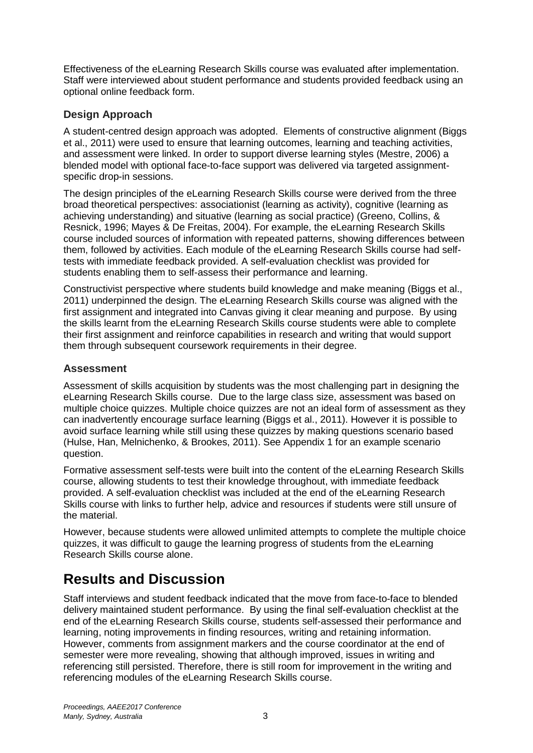Effectiveness of the eLearning Research Skills course was evaluated after implementation. Staff were interviewed about student performance and students provided feedback using an optional online feedback form.

### **Design Approach**

A student-centred design approach was adopted. Elements of constructive alignment (Biggs et al., 2011) were used to ensure that learning outcomes, learning and teaching activities, and assessment were linked. In order to support diverse learning styles (Mestre, 2006) a blended model with optional face-to-face support was delivered via targeted assignmentspecific drop-in sessions.

The design principles of the eLearning Research Skills course were derived from the three broad theoretical perspectives: associationist (learning as activity), cognitive (learning as achieving understanding) and situative (learning as social practice) (Greeno, Collins, & Resnick, 1996; Mayes & De Freitas, 2004). For example, the eLearning Research Skills course included sources of information with repeated patterns, showing differences between them, followed by activities. Each module of the eLearning Research Skills course had selftests with immediate feedback provided. A self-evaluation checklist was provided for students enabling them to self-assess their performance and learning.

Constructivist perspective where students build knowledge and make meaning (Biggs et al., 2011) underpinned the design. The eLearning Research Skills course was aligned with the first assignment and integrated into Canvas giving it clear meaning and purpose. By using the skills learnt from the eLearning Research Skills course students were able to complete their first assignment and reinforce capabilities in research and writing that would support them through subsequent coursework requirements in their degree.

### **Assessment**

Assessment of skills acquisition by students was the most challenging part in designing the eLearning Research Skills course. Due to the large class size, assessment was based on multiple choice quizzes. Multiple choice quizzes are not an ideal form of assessment as they can inadvertently encourage surface learning (Biggs et al., 2011). However it is possible to avoid surface learning while still using these quizzes by making questions scenario based (Hulse, Han, Melnichenko, & Brookes, 2011). See Appendix 1 for an example scenario question.

Formative assessment self-tests were built into the content of the eLearning Research Skills course, allowing students to test their knowledge throughout, with immediate feedback provided. A self-evaluation checklist was included at the end of the eLearning Research Skills course with links to further help, advice and resources if students were still unsure of the material.

However, because students were allowed unlimited attempts to complete the multiple choice quizzes, it was difficult to gauge the learning progress of students from the eLearning Research Skills course alone.

# **Results and Discussion**

Staff interviews and student feedback indicated that the move from face-to-face to blended delivery maintained student performance. By using the final self-evaluation checklist at the end of the eLearning Research Skills course, students self-assessed their performance and learning, noting improvements in finding resources, writing and retaining information. However, comments from assignment markers and the course coordinator at the end of semester were more revealing, showing that although improved, issues in writing and referencing still persisted. Therefore, there is still room for improvement in the writing and referencing modules of the eLearning Research Skills course.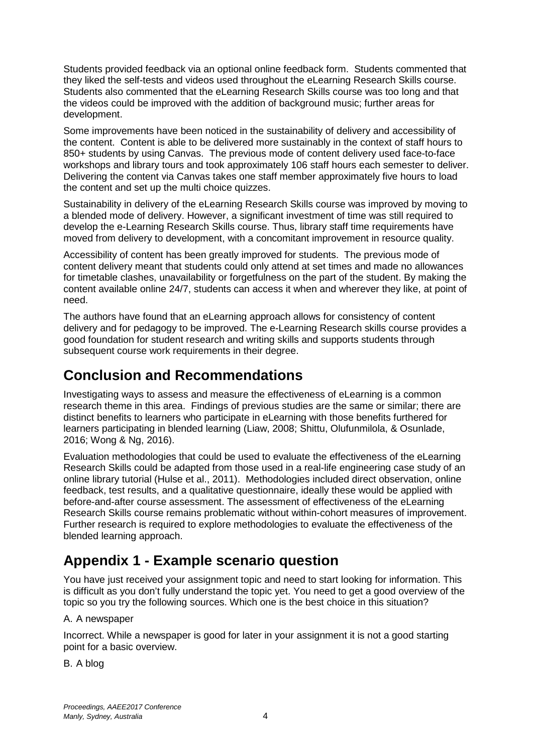Students provided feedback via an optional online feedback form. Students commented that they liked the self-tests and videos used throughout the eLearning Research Skills course. Students also commented that the eLearning Research Skills course was too long and that the videos could be improved with the addition of background music; further areas for development.

Some improvements have been noticed in the sustainability of delivery and accessibility of the content. Content is able to be delivered more sustainably in the context of staff hours to 850+ students by using Canvas. The previous mode of content delivery used face-to-face workshops and library tours and took approximately 106 staff hours each semester to deliver. Delivering the content via Canvas takes one staff member approximately five hours to load the content and set up the multi choice quizzes.

Sustainability in delivery of the eLearning Research Skills course was improved by moving to a blended mode of delivery. However, a significant investment of time was still required to develop the e-Learning Research Skills course. Thus, library staff time requirements have moved from delivery to development, with a concomitant improvement in resource quality.

Accessibility of content has been greatly improved for students. The previous mode of content delivery meant that students could only attend at set times and made no allowances for timetable clashes, unavailability or forgetfulness on the part of the student. By making the content available online 24/7, students can access it when and wherever they like, at point of need.

The authors have found that an eLearning approach allows for consistency of content delivery and for pedagogy to be improved. The e-Learning Research skills course provides a good foundation for student research and writing skills and supports students through subsequent course work requirements in their degree.

## **Conclusion and Recommendations**

Investigating ways to assess and measure the effectiveness of eLearning is a common research theme in this area. Findings of previous studies are the same or similar; there are distinct benefits to learners who participate in eLearning with those benefits furthered for learners participating in blended learning (Liaw, 2008; Shittu, Olufunmilola, & Osunlade, 2016; Wong & Ng, 2016).

Evaluation methodologies that could be used to evaluate the effectiveness of the eLearning Research Skills could be adapted from those used in a real-life engineering case study of an online library tutorial (Hulse et al., 2011). Methodologies included direct observation, online feedback, test results, and a qualitative questionnaire, ideally these would be applied with before-and-after course assessment. The assessment of effectiveness of the eLearning Research Skills course remains problematic without within-cohort measures of improvement. Further research is required to explore methodologies to evaluate the effectiveness of the blended learning approach.

# **Appendix 1 - Example scenario question**

You have just received your assignment topic and need to start looking for information. This is difficult as you don't fully understand the topic yet. You need to get a good overview of the topic so you try the following sources. Which one is the best choice in this situation?

### A. A newspaper

Incorrect. While a newspaper is good for later in your assignment it is not a good starting point for a basic overview.

B. A blog